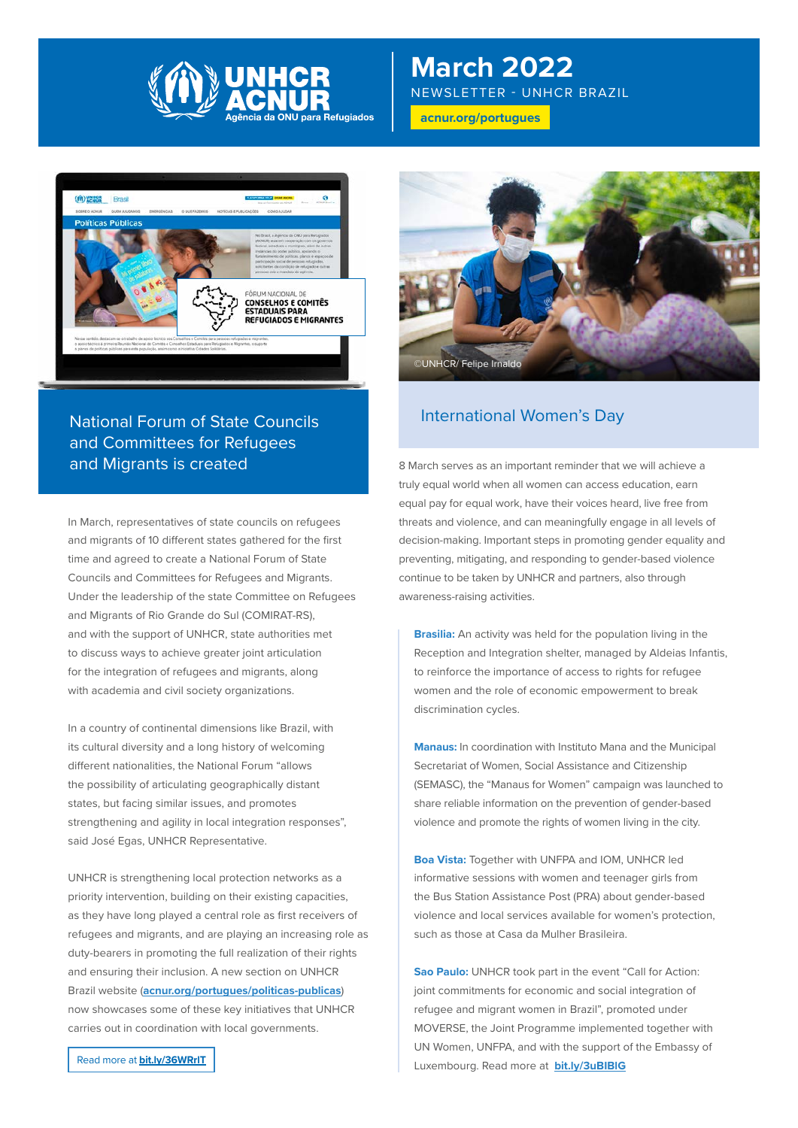

# **March 2022**

NEWSLETTER - UNHCR BRAZIL

**[acnur.org](http://acnur.org/portugues)/portugues**



## International Women's Day National Forum of State Councils and Committees for Refugees and Migrants is created

In March, representatives of state councils on refugees and migrants of 10 different states gathered for the first time and agreed to create a National Forum of State Councils and Committees for Refugees and Migrants. Under the leadership of the state Committee on Refugees and Migrants of Rio Grande do Sul (COMIRAT-RS), and with the support of UNHCR, state authorities met to discuss ways to achieve greater joint articulation for the integration of refugees and migrants, along with academia and civil society organizations.

In a country of continental dimensions like Brazil, with its cultural diversity and a long history of welcoming different nationalities, the National Forum "allows the possibility of articulating geographically distant states, but facing similar issues, and promotes strengthening and agility in local integration responses", said José Egas, UNHCR Representative.

UNHCR is strengthening local protection networks as a priority intervention, building on their existing capacities, as they have long played a central role as first receivers of refugees and migrants, and are playing an increasing role as duty-bearers in promoting the full realization of their rights and ensuring their inclusion. A new section on UNHCR Brazil website (**[acnur.org/portugues/politicas-publicas](http://acnur.org/portugues/politicas-publicas)**) now showcases some of these key initiatives that UNHCR carries out in coordination with local governments.



8 March serves as an important reminder that we will achieve a truly equal world when all women can access education, earn equal pay for equal work, have their voices heard, live free from threats and violence, and can meaningfully engage in all levels of decision-making. Important steps in promoting gender equality and preventing, mitigating, and responding to gender-based violence continue to be taken by UNHCR and partners, also through awareness-raising activities.

**Brasilia:** An activity was held for the population living in the Reception and Integration shelter, managed by Aldeias Infantis, to reinforce the importance of access to rights for refugee women and the role of economic empowerment to break discrimination cycles.

**Manaus:** In coordination with Instituto Mana and the Municipal Secretariat of Women, Social Assistance and Citizenship (SEMASC), the "Manaus for Women" campaign was launched to share reliable information on the prevention of gender-based violence and promote the rights of women living in the city.

**Boa Vista:** Together with UNFPA and IOM, UNHCR led informative sessions with women and teenager girls from the Bus Station Assistance Post (PRA) about gender-based violence and local services available for women's protection, such as those at Casa da Mulher Brasileira.

**Sao Paulo:** UNHCR took part in the event "Call for Action: joint commitments for economic and social integration of refugee and migrant women in Brazil", promoted under MOVERSE, the Joint Programme implemented together with UN Women, UNFPA, and with the support of the Embassy of Luxembourg. Read more at **[bit.ly/3uBIBlG](http://bit.ly/3uBIBlG)**

Read more at **[bit.ly/36WRrlT](http://bit.ly/36WRrlT)**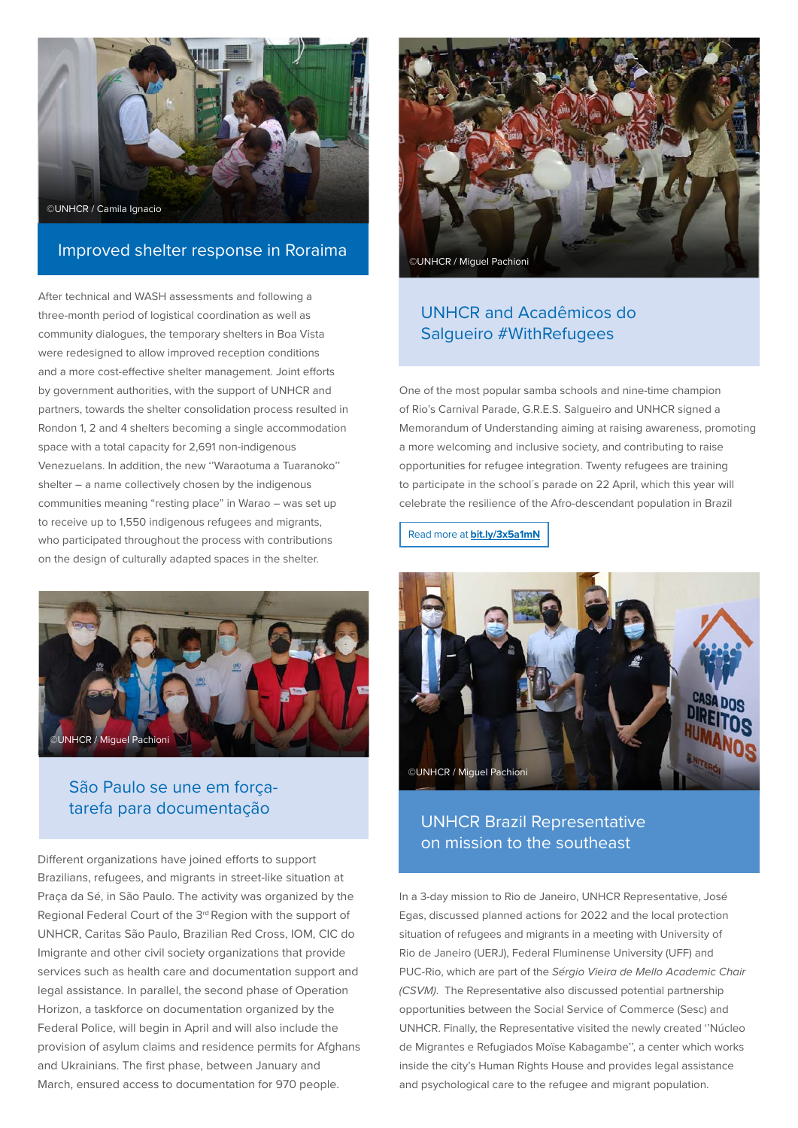

### Improved shelter response in Roraima

After technical and WASH assessments and following a three-month period of logistical coordination as well as community dialogues, the temporary shelters in Boa Vista were redesigned to allow improved reception conditions and a more cost-effective shelter management. Joint efforts by government authorities, with the support of UNHCR and partners, towards the shelter consolidation process resulted in Rondon 1, 2 and 4 shelters becoming a single accommodation space with a total capacity for 2,691 non-indigenous Venezuelans. In addition, the new ''Waraotuma a Tuaranoko'' shelter – a name collectively chosen by the indigenous communities meaning "resting place" in Warao – was set up to receive up to 1,550 indigenous refugees and migrants, who participated throughout the process with contributions on the design of culturally adapted spaces in the shelter.



### São Paulo se une em forçatarefa para documentação

Different organizations have joined efforts to support Brazilians, refugees, and migrants in street-like situation at Praça da Sé, in São Paulo. The activity was organized by the Regional Federal Court of the 3<sup>rd</sup> Region with the support of UNHCR, Caritas São Paulo, Brazilian Red Cross, IOM, CIC do Imigrante and other civil society organizations that provide services such as health care and documentation support and legal assistance. In parallel, the second phase of Operation Horizon, a taskforce on documentation organized by the Federal Police, will begin in April and will also include the provision of asylum claims and residence permits for Afghans and Ukrainians. The first phase, between January and March, ensured access to documentation for 970 people.



### UNHCR and Acadêmicos do Salgueiro #WithRefugees

One of the most popular samba schools and nine-time champion of Rio's Carnival Parade, G.R.E.S. Salgueiro and UNHCR signed a Memorandum of Understanding aiming at raising awareness, promoting a more welcoming and inclusive society, and contributing to raise opportunities for refugee integration. Twenty refugees are training to participate in the school's parade on 22 April, which this year will celebrate the resilience of the Afro-descendant population in Brazil

Read more at **[bit.ly/3x5a1mN](http://bit.ly/3x5a1mN)**



### UNHCR Brazil Representative on mission to the southeast

In a 3-day mission to Rio de Janeiro, UNHCR Representative, José Egas, discussed planned actions for 2022 and the local protection situation of refugees and migrants in a meeting with University of Rio de Janeiro (UERJ), Federal Fluminense University (UFF) and PUC-Rio, which are part of the *Sérgio Vieira de Mello Academic Chair (CSVM)*. The Representative also discussed potential partnership opportunities between the Social Service of Commerce (Sesc) and UNHCR. Finally, the Representative visited the newly created ''Núcleo de Migrantes e Refugiados Moïse Kabagambe'', a center which works inside the city's Human Rights House and provides legal assistance and psychological care to the refugee and migrant population.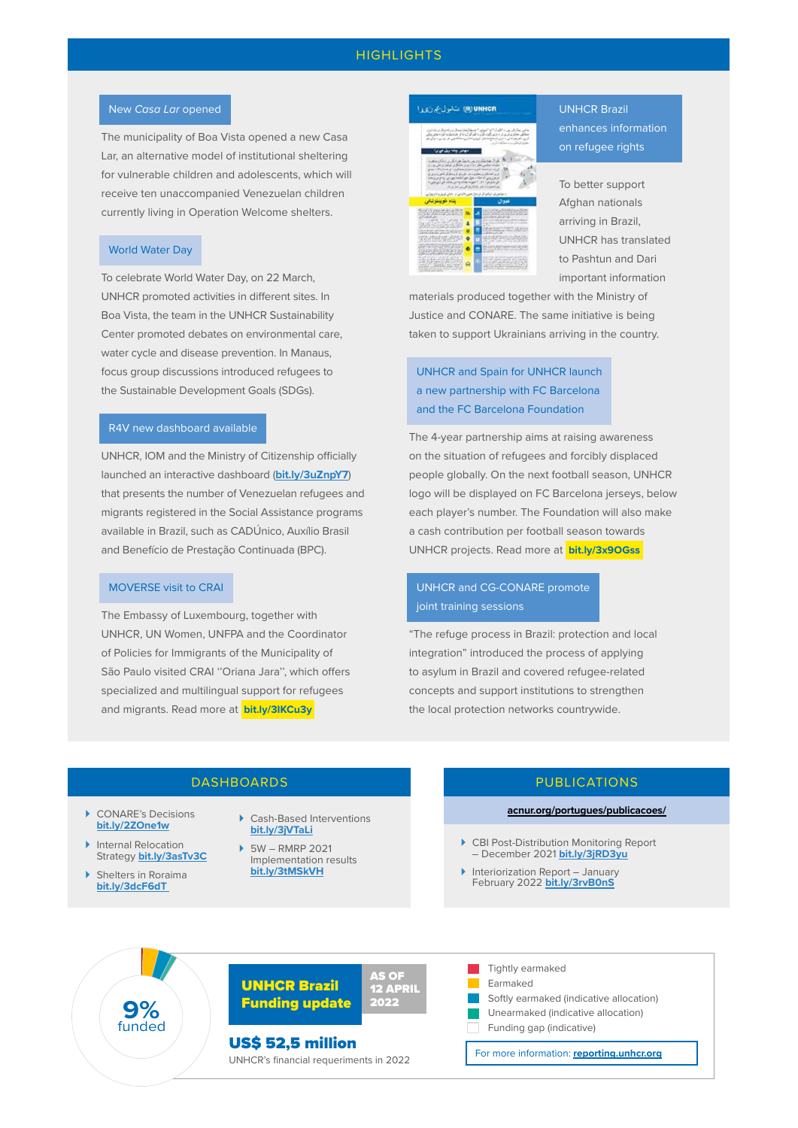#### **HIGHLIGHTS**

#### New *Casa Lar* opened

The municipality of Boa Vista opened a new Casa Lar, an alternative model of institutional sheltering for vulnerable children and adolescents, which will receive ten unaccompanied Venezuelan children currently living in Operation Welcome shelters.

#### World Water Day

To celebrate World Water Day, on 22 March, UNHCR promoted activities in different sites. In Boa Vista, the team in the UNHCR Sustainability Center promoted debates on environmental care, water cycle and disease prevention. In Manaus, focus group discussions introduced refugees to the Sustainable Development Goals (SDGs).

#### R4V new dashboard available

UNHCR, IOM and the Ministry of Citizenship officially launched an interactive dashboard (**[bit.ly/3uZnpY7](http://bit.ly/3uZnpY7)**) that presents the number of Venezuelan refugees and migrants registered in the Social Assistance programs available in Brazil, such as CADÚnico, Auxílio Brasil and Benefício de Prestação Continuada (BPC).

#### MOVERSE visit to CRAI

The Embassy of Luxembourg, together with UNHCR, UN Women, UNFPA and the Coordinator of Policies for Immigrants of the Municipality of São Paulo visited CRAI ''Oriana Jara'', which offers specialized and multilingual support for refugees and migrants. Read more at **[bit.ly/3IKCu3y](http://bit.ly/3IKCu3y)** 

<mark>(@) UNHC</mark>

### UNHCR Brazil enhances information on refugee rights

To better support Afghan nationals arriving in Brazil, UNHCR has translated to Pashtun and Dari important information

materials produced together with the Ministry of Justice and CONARE. The same initiative is being taken to support Ukrainians arriving in the country.

UNHCR and Spain for UNHCR launch a new partnership with FC Barcelona and the FC Barcelona Foundation

The 4-year partnership aims at raising awareness on the situation of refugees and forcibly displaced people globally. On the next football season, UNHCR logo will be displayed on FC Barcelona jerseys, below each player's number. The Foundation will also make a cash contribution per football season towards UNHCR projects. Read more at **[bit.ly/3x9OGss](http://bit.ly/3x9OGss)** 

#### UNHCR and CG-CONARE promote joint training sessions

"The refuge process in Brazil: protection and local integration" introduced the process of applying to asylum in Brazil and covered refugee-related concepts and support institutions to strengthen the local protection networks countrywide.

#### DASHBOARDS

- CONARE's Decisions **[bit.ly/2ZOne1w](http://bit.ly/2ZOne1w)**
- **Internal Relocation** Strategy **[bit.ly/3asTv3C](http://bit.ly/3asTv3C)**
- Shelters in Roraima **[bit.ly/3dcF6dT](http://bit.ly/3dcF6dT)**
- Cash-Based Interventions **[bit.ly/3jVTaLi](http://bit.ly/3jVTaLi)**
- 5W RMRP 2021 Implementation results **[bit.ly/3tMSkVH](http://bit.ly/3tMSkVH)**

### PUBLICATIONS

#### **[acnur.org/portugues/publicacoes/](http://acnur.org/portugues/publicacoes/)**

- CBI Post-Distribution Monitoring Report – December 2021 **[bit.ly/3jRD3yu](http://bit.ly/3jRD3yu)**
- Interiorization Report January February 2022 **[bit.ly/3rvB0nS](http://bit.ly/3rvB0nS)**